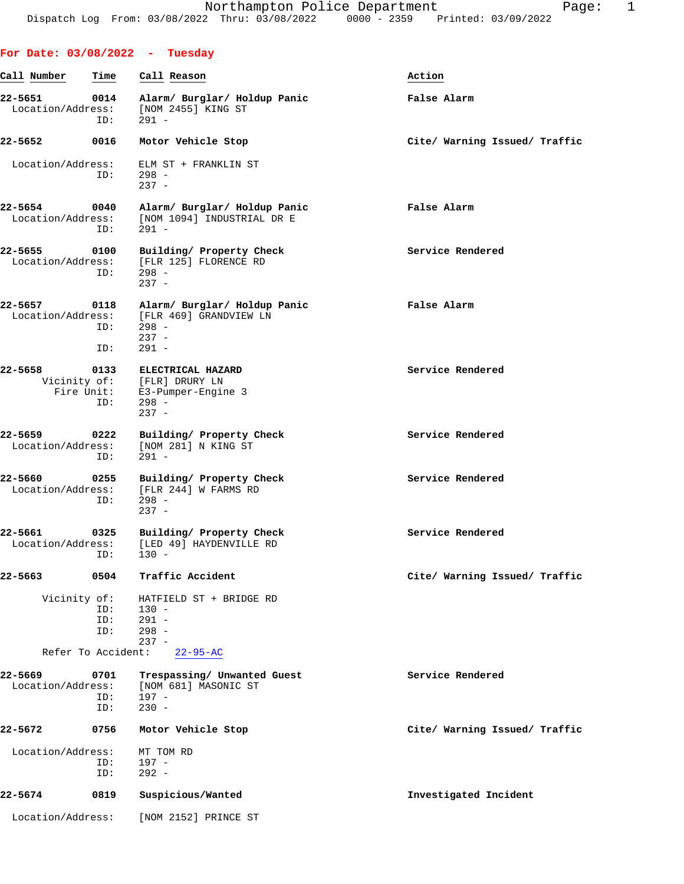|                              |                    | For Date: $03/08/2022 - Tuesday$                                                             |                               |
|------------------------------|--------------------|----------------------------------------------------------------------------------------------|-------------------------------|
| Call Number                  | Time               | Call Reason                                                                                  | Action                        |
| 22-5651<br>Location/Address: | 0014<br>ID:        | Alarm/ Burglar/ Holdup Panic<br>[NOM 2455] KING ST<br>$291 -$                                | False Alarm                   |
| 22-5652                      | 0016               | Motor Vehicle Stop                                                                           | Cite/ Warning Issued/ Traffic |
| Location/Address:            | ID:                | ELM ST + FRANKLIN ST<br>$298 -$<br>$237 -$                                                   |                               |
| 22-5654<br>Location/Address: | 0040<br>ID:        | Alarm/ Burglar/ Holdup Panic<br>[NOM 1094] INDUSTRIAL DR E<br>$291 -$                        | False Alarm                   |
| 22-5655<br>Location/Address: | 0100<br>ID:        | Building/ Property Check<br>[FLR 125] FLORENCE RD<br>$298 -$<br>$237 -$                      | Service Rendered              |
| 22-5657<br>Location/Address: | 0118<br>ID:<br>ID: | Alarm/ Burglar/ Holdup Panic<br>[FLR 469] GRANDVIEW LN<br>$298 -$<br>$237 -$<br>$291 -$      | False Alarm                   |
| $22 - 5658$<br>Fire Unit:    | 0133<br>ID:        | ELECTRICAL HAZARD<br>Vicinity of: [FLR] DRURY LN<br>E3-Pumper-Engine 3<br>$298 -$<br>$237 -$ | Service Rendered              |
| 22-5659<br>Location/Address: | 0222<br>ID:        | Building/ Property Check<br>[NOM 281] N KING ST<br>$291 -$                                   | Service Rendered              |
| 22-5660<br>Location/Address: | 0255<br>ID:        | Building/ Property Check<br>[FLR 244] W FARMS RD<br>$298 -$<br>$237 -$                       | Service Rendered              |
| 22-5661<br>Location/Address: | 0325<br>ID:        | Building/ Property Check<br>[LED 49] HAYDENVILLE RD<br>$130 -$                               | Service Rendered              |
| 22-5663                      | 0504               | Traffic Accident                                                                             | Cite/ Warning Issued/ Traffic |
| Vicinity of:                 | ID:<br>ID:<br>ID:  | HATFIELD ST + BRIDGE RD<br>$130 -$<br>$291 -$<br>$298 -$<br>$237 -$                          |                               |
| Refer To Accident:           |                    | $22 - 95 - AC$                                                                               |                               |
| 22-5669<br>Location/Address: | 0701<br>ID:<br>ID: | Trespassing/ Unwanted Guest<br>[NOM 681] MASONIC ST<br>$197 -$<br>$230 -$                    | Service Rendered              |
| 22-5672                      | 0756               | Motor Vehicle Stop                                                                           | Cite/ Warning Issued/ Traffic |
| Location/Address:            | ID:<br>ID:         | MT TOM RD<br>197 -<br>$292 -$                                                                |                               |
| 22-5674                      | 0819               | Suspicious/Wanted                                                                            | Investigated Incident         |
| Location/Address:            |                    | [NOM 2152] PRINCE ST                                                                         |                               |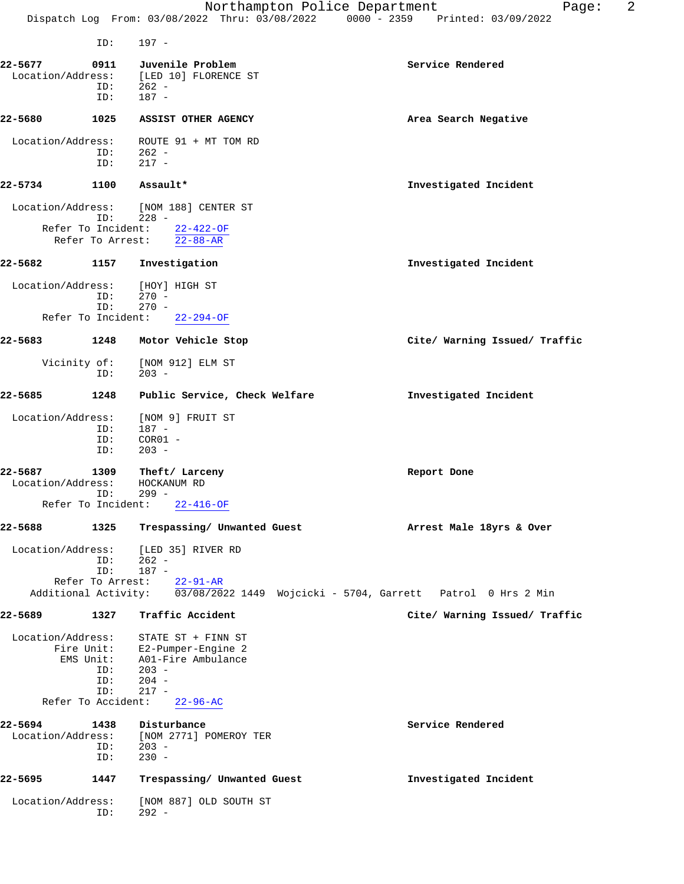ID: 197 -

| 22-5677                                            | 0911<br>ID:                    | Juvenile Problem<br>Location/Address: [LED 10] FLORENCE ST<br>$ID: 262 -$<br>$187 -$                                                                     | Service Rendered              |
|----------------------------------------------------|--------------------------------|----------------------------------------------------------------------------------------------------------------------------------------------------------|-------------------------------|
| 22-5680                                            | 1025                           | <b>ASSIST OTHER AGENCY</b>                                                                                                                               | Area Search Negative          |
| Location/Address:                                  | ID:<br>ID:                     | ROUTE 91 + MT TOM RD<br>262 -<br>217 -                                                                                                                   |                               |
| 22-5734                                            | 1100                           | Assault*                                                                                                                                                 | Investigated Incident         |
|                                                    |                                | Location/Address: [NOM 188] CENTER ST<br>$ID: 228 -$<br>Refer To Incident: 22-422-OF<br>Refer To Arrest: 22-88-AR                                        |                               |
| 22-5682                                            | 1157                           | Investigation                                                                                                                                            | Investigated Incident         |
| Location/Address:<br>Refer To Incident:            | ID:<br>ID:                     | [HOY] HIGH ST<br>$270 -$<br>$270 -$<br>$22 - 294 - OF$                                                                                                   |                               |
| 22-5683                                            | 1248                           | Motor Vehicle Stop                                                                                                                                       | Cite/ Warning Issued/ Traffic |
| Vicinity of:                                       | ID:                            | [NOM 912] ELM ST<br>$203 -$                                                                                                                              |                               |
| 22-5685                                            | 1248                           | Public Service, Check Welfare                                                                                                                            | Investigated Incident         |
| Location/Address:                                  | ID:<br>ID:<br>ID:              | [NOM 9] FRUIT ST<br>$187 -$<br>$COR01 -$<br>$203 -$                                                                                                      |                               |
| 22-5687<br>Location/Address:<br>Refer To Incident: | 1309<br>ID:                    | Theft/ Larceny<br>HOCKANUM RD<br>$299 -$<br>$22 - 416 - OF$                                                                                              | Report Done                   |
| 22-5688                                            | 1325                           | Trespassing/ Unwanted Guest                                                                                                                              | Arrest Male 18yrs & Over      |
| Location/Address:                                  | ID:<br>ID:                     | [LED 35] RIVER RD<br>$262 -$<br>$187 -$<br>Refer To Arrest: 22-91-AR<br>Additional Activity: 03/08/2022 1449 Wojcicki - 5704, Garrett Patrol 0 Hrs 2 Min |                               |
| 22-5689                                            | 1327                           | Traffic Accident                                                                                                                                         | Cite/ Warning Issued/ Traffic |
| Location/Address:<br>Refer To Accident:            | EMS Unit:<br>ID:<br>ID:<br>ID: | STATE ST + FINN ST<br>Fire Unit: E2-Pumper-Engine 2<br>A01-Fire Ambulance<br>$203 -$<br>$204 -$<br>$217 -$<br>$22 - 96 - AC$                             |                               |
| 22-5694                                            | 1438                           | Disturbance                                                                                                                                              | Service Rendered              |
| Location/Address:                                  | ID:<br>ID:                     | [NOM 2771] POMEROY TER<br>$203 -$<br>$230 -$                                                                                                             |                               |
| 22–5695                                            | 1447                           | Trespassing/ Unwanted Guest                                                                                                                              | Investigated Incident         |
| Location/Address:                                  | ID:                            | [NOM 887] OLD SOUTH ST<br>$292 -$                                                                                                                        |                               |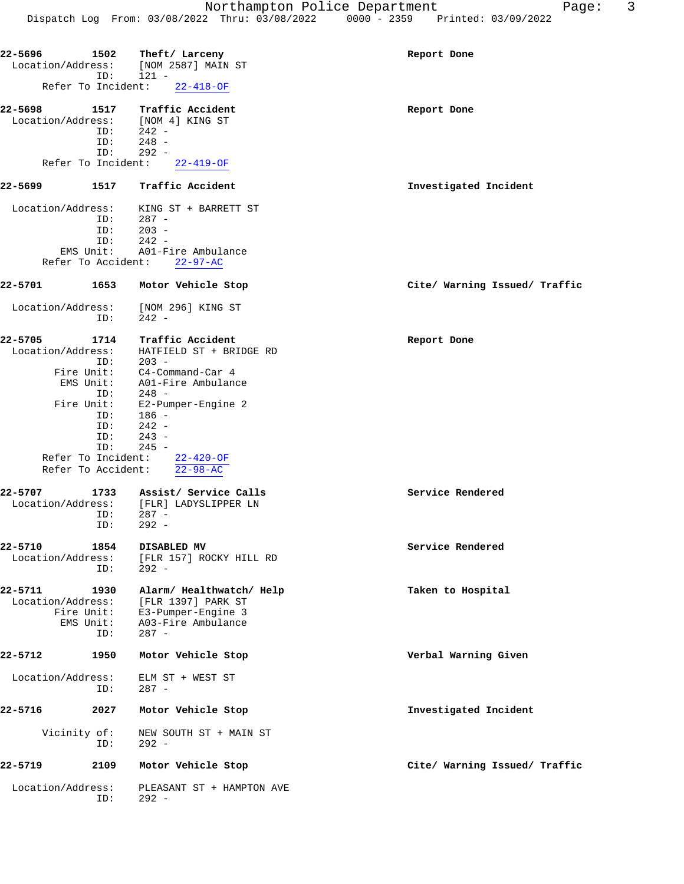|                                   |                | $1 + 0$ $1 + 0$ $0 + 0$ $0 + 0$ $0 + 0$ $0 + 0$ $0 + 0$ $0 + 0$   |                               |
|-----------------------------------|----------------|-------------------------------------------------------------------|-------------------------------|
| 22–5696                           | 1502<br>ID:    | Theft/ Larceny<br>Location/Address: [NOM 2587] MAIN ST<br>$121 -$ | Report Done                   |
| Refer To Incident:                |                | $22 - 418 - OF$                                                   |                               |
|                                   |                |                                                                   |                               |
| 22-5698                           | 1517           | Traffic Accident                                                  | Report Done                   |
| Location/Address: [NOM 4] KING ST |                |                                                                   |                               |
|                                   | ID:            | $242 -$                                                           |                               |
|                                   | ID:<br>ID:     | $248 -$<br>$292 -$                                                |                               |
|                                   |                | Refer To Incident: 22-419-OF                                      |                               |
|                                   |                |                                                                   |                               |
| 22–5699                           |                | 1517 Traffic Accident                                             | Investigated Incident         |
| Location/Address:                 |                | KING ST + BARRETT ST                                              |                               |
|                                   | ID:            | 287 -                                                             |                               |
|                                   | $203 -$<br>ID: |                                                                   |                               |
|                                   | ID:            | $242 -$                                                           |                               |
| Refer To Accident:                |                | EMS Unit: A01-Fire Ambulance<br>$22 - 97 - AC$                    |                               |
|                                   |                |                                                                   |                               |
| 22-5701                           | 1653           | Motor Vehicle Stop                                                | Cite/ Warning Issued/ Traffic |
| Location/Address:                 | ID:            | [NOM 296] KING ST<br>$242 -$                                      |                               |
| 22-5705                           | 1714           | Traffic Accident                                                  | Report Done                   |
| Location/Address:                 |                | HATFIELD ST + BRIDGE RD                                           |                               |
|                                   | ID:            | $203 -$                                                           |                               |
|                                   |                | Fire Unit: C4-Command-Car 4                                       |                               |
| EMS Unit:                         |                | A01-Fire Ambulance                                                |                               |
|                                   | ID:            | 248 -                                                             |                               |
| Fire Unit:                        |                | E2-Pumper-Engine 2                                                |                               |
|                                   | ID:            | 186 -                                                             |                               |
|                                   | ID:            | $242 -$                                                           |                               |
|                                   | ID:            | $243 -$                                                           |                               |
| Refer To Incident:                | ID:            | $245 -$                                                           |                               |
| Refer To Accident:                |                | 22-420-OF<br>$22 - 98 - AC$                                       |                               |
|                                   |                |                                                                   |                               |
| 22-5707                           |                | 1733 Assist/ Service Calls                                        | Service Rendered              |
|                                   |                | Location/Address: [FLR] LADYSLIPPER LN                            |                               |
|                                   | ID:            | $287 -$                                                           |                               |
|                                   | ID:            | 292 -                                                             |                               |
| 22-5710                           | 1854           | DISABLED MV                                                       | Service Rendered              |
| Location/Address:                 |                | [FLR 157] ROCKY HILL RD                                           |                               |
|                                   | ID:            | $292 -$                                                           |                               |
|                                   |                |                                                                   |                               |
| 22-5711<br>Location/Address:      | 1930           | Alarm/ Healthwatch/ Help<br>[FLR 1397] PARK ST                    | Taken to Hospital             |
| Fire Unit:                        |                | E3-Pumper-Engine 3                                                |                               |
| EMS Unit:                         |                | A03-Fire Ambulance                                                |                               |
|                                   | ID:            | $287 -$                                                           |                               |
| 22-5712                           | 1950           | Motor Vehicle Stop                                                | Verbal Warning Given          |
| Location/Address:                 | ID:            | ELM ST + WEST ST<br>$287 -$                                       |                               |
| 22-5716                           | 2027           | Motor Vehicle Stop                                                | Investigated Incident         |
| Vicinity of:                      |                | NEW SOUTH ST + MAIN ST                                            |                               |

**22-5719 2109 Motor Vehicle Stop Cite/ Warning Issued/ Traffic** Location/Address: PLEASANT ST + HAMPTON AVE ID: 292 -

ID: 292 -